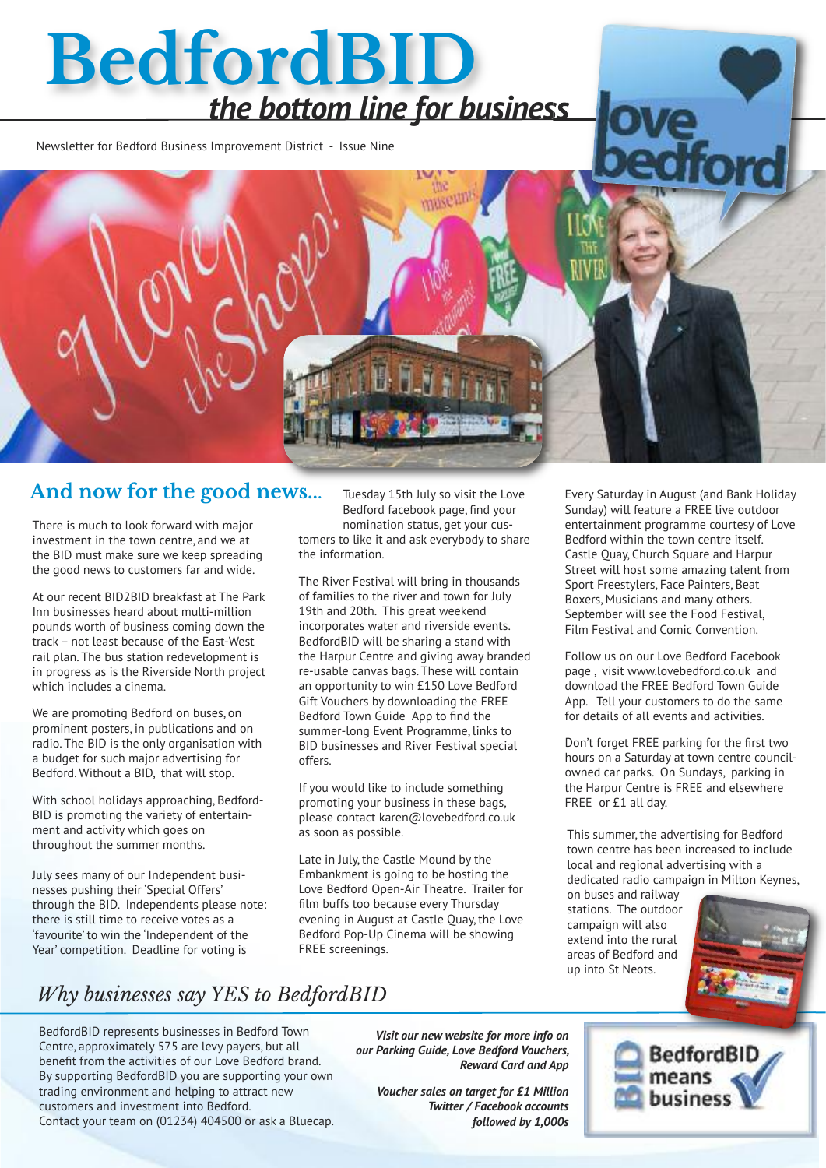# **BedfordBID** *the bottom line for business*

Newsletter for Bedford Business Improvement District - Issue Nine

#### **And now for the good news...**

There is much to look forward with major investment in the town centre, and we at the BID must make sure we keep spreading the good news to customers far and wide.

At our recent BID2BID breakfast at The Park Inn businesses heard about multi-million pounds worth of business coming down the track– not least because of the East-West rail plan. The bus station redevelopment is in progress as is the Riverside North project which includes a cinema.

We are promoting Bedford on buses, on prominent posters, in publications and on radio. The BID is the only organisation with a budget for such major advertising for Bedford. Without a BID, that will stop.

With school holidays approaching, Bedford-BID is promoting the variety of entertainment and activity which goes on throughout the summer months.

July sees many of our Independent businesses pushing their 'Special Offers' through the BID. Independents please note: there is still time to receive votes as a 'favourite' to win the 'Independent of the Year' competition. Deadline for voting is

Tuesday 15th July so visit the Love Bedford facebook page, find your nomination status, get your customers to like it and ask everybody to share the information.

The River Festival will bring in thousands of families to the river and town for July 19th and 20th. This great weekend incorporates water and riverside events. BedfordBID will be sharing a stand with the Harpur Centre and giving away branded re-usable canvas bags. These will contain an opportunity to win £150 Love Bedford Gift Vouchers by downloading the FREE Bedford Town Guide App to find the summer-long Event Programme, links to BID businesses and River Festival special offers.

If you would like to include something promoting your business in these bags, please contact karen@lovebedford.co.uk as soon as possible.

Late in July, the Castle Mound by the Embankment is going to be hosting the Love Bedford Open-Air Theatre. Trailer for film buffs too because every Thursday evening in August at Castle Quay, the Love Bedford Pop-Up Cinema will be showing FREE screenings.

Every Saturday in August (and Bank Holiday Sunday) will feature a FREE live outdoor entertainment programme courtesy of Love Bedford within the town centre itself. Castle Quay, Church Square and Harpur Street will host some amazing talent from Sport Freestylers, Face Painters, Beat Boxers, Musicians and many others. September will see the Food Festival, Film Festival and Comic Convention.

Follow us on our Love Bedford Facebook page , visit www.lovebedford.co.uk and download the FREE Bedford Town Guide App. Tell your customers to do the same for details of all events and activities.

Don't forget FREE parking for the first two hours on a Saturday at town centre councilowned car parks. On Sundays, parking in the Harpur Centre is FREE and elsewhere FREE or £1 all day.

This summer, the advertising for Bedford town centre has been increased to include local and regional advertising with a dedicated radio campaign in Milton Keynes,

BedfordBI

on buses and railway stations. The outdoor campaign will also extend into the rural areas of Bedford and up into St Neots.



## *Why businesses say YES to BedfordBID*

BedfordBID represents businesses in Bedford Town Centre, approximately 575 are levy payers, but all benefit from the activities of our Love Bedford brand. By supporting BedfordBID you are supporting your own trading environment and helping to attract new customers and investment into Bedford. Contact your team on (01234) 404500 or ask a Bluecap.

*Visit our new website for more info on our Parking Guide, Love Bedford Vouchers, Reward Card and App*

*Voucher sales on target for £1 Million Twitter / Facebook accounts followed by 1,000s*